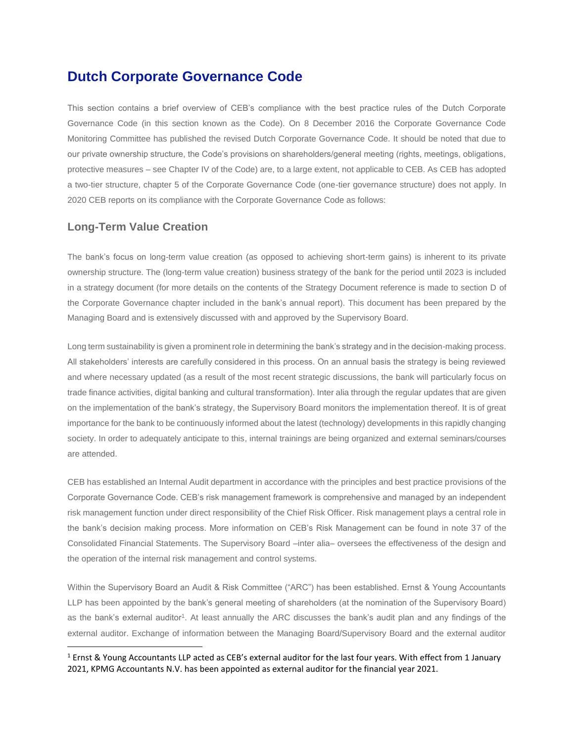# **Dutch Corporate Governance Code**

This section contains a brief overview of CEB's compliance with the best practice rules of the Dutch Corporate Governance Code (in this section known as the Code). On 8 December 2016 the Corporate Governance Code Monitoring Committee has published the revised Dutch Corporate Governance Code. It should be noted that due to our private ownership structure, the Code's provisions on shareholders/general meeting (rights, meetings, obligations, protective measures – see Chapter IV of the Code) are, to a large extent, not applicable to CEB. As CEB has adopted a two-tier structure, chapter 5 of the Corporate Governance Code (one-tier governance structure) does not apply. In 2020 CEB reports on its compliance with the Corporate Governance Code as follows:

## **Long-Term Value Creation**

 $\overline{\phantom{a}}$ 

The bank's focus on long-term value creation (as opposed to achieving short-term gains) is inherent to its private ownership structure. The (long-term value creation) business strategy of the bank for the period until 2023 is included in a strategy document (for more details on the contents of the Strategy Document reference is made to section D of the Corporate Governance chapter included in the bank's annual report). This document has been prepared by the Managing Board and is extensively discussed with and approved by the Supervisory Board.

Long term sustainability is given a prominent role in determining the bank's strategy and in the decision-making process. All stakeholders' interests are carefully considered in this process. On an annual basis the strategy is being reviewed and where necessary updated (as a result of the most recent strategic discussions, the bank will particularly focus on trade finance activities, digital banking and cultural transformation). Inter alia through the regular updates that are given on the implementation of the bank's strategy, the Supervisory Board monitors the implementation thereof. It is of great importance for the bank to be continuously informed about the latest (technology) developments in this rapidly changing society. In order to adequately anticipate to this, internal trainings are being organized and external seminars/courses are attended.

CEB has established an Internal Audit department in accordance with the principles and best practice provisions of the Corporate Governance Code. CEB's risk management framework is comprehensive and managed by an independent risk management function under direct responsibility of the Chief Risk Officer. Risk management plays a central role in the bank's decision making process. More information on CEB's Risk Management can be found in note 37 of the Consolidated Financial Statements. The Supervisory Board –inter alia– oversees the effectiveness of the design and the operation of the internal risk management and control systems.

Within the Supervisory Board an Audit & Risk Committee ("ARC") has been established. Ernst & Young Accountants LLP has been appointed by the bank's general meeting of shareholders (at the nomination of the Supervisory Board) as the bank's external auditor<sup>1</sup>. At least annually the ARC discusses the bank's audit plan and any findings of the external auditor. Exchange of information between the Managing Board/Supervisory Board and the external auditor

 $1$  Ernst & Young Accountants LLP acted as CEB's external auditor for the last four years. With effect from 1 January 2021, KPMG Accountants N.V. has been appointed as external auditor for the financial year 2021.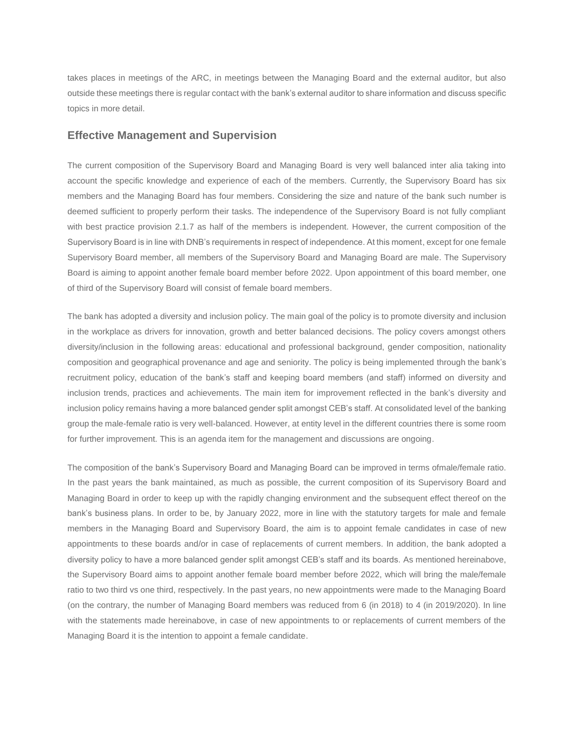takes places in meetings of the ARC, in meetings between the Managing Board and the external auditor, but also outside these meetings there is regular contact with the bank's external auditor to share information and discuss specific topics in more detail.

#### **Effective Management and Supervision**

The current composition of the Supervisory Board and Managing Board is very well balanced inter alia taking into account the specific knowledge and experience of each of the members. Currently, the Supervisory Board has six members and the Managing Board has four members. Considering the size and nature of the bank such number is deemed sufficient to properly perform their tasks. The independence of the Supervisory Board is not fully compliant with best practice provision 2.1.7 as half of the members is independent. However, the current composition of the Supervisory Board is in line with DNB's requirements in respect of independence. At this moment, except for one female Supervisory Board member, all members of the Supervisory Board and Managing Board are male. The Supervisory Board is aiming to appoint another female board member before 2022. Upon appointment of this board member, one of third of the Supervisory Board will consist of female board members.

The bank has adopted a diversity and inclusion policy. The main goal of the policy is to promote diversity and inclusion in the workplace as drivers for innovation, growth and better balanced decisions. The policy covers amongst others diversity/inclusion in the following areas: educational and professional background, gender composition, nationality composition and geographical provenance and age and seniority. The policy is being implemented through the bank's recruitment policy, education of the bank's staff and keeping board members (and staff) informed on diversity and inclusion trends, practices and achievements. The main item for improvement reflected in the bank's diversity and inclusion policy remains having a more balanced gender split amongst CEB's staff. At consolidated level of the banking group the male-female ratio is very well-balanced. However, at entity level in the different countries there is some room for further improvement. This is an agenda item for the management and discussions are ongoing.

The composition of the bank's Supervisory Board and Managing Board can be improved in terms ofmale/female ratio. In the past years the bank maintained, as much as possible, the current composition of its Supervisory Board and Managing Board in order to keep up with the rapidly changing environment and the subsequent effect thereof on the bank's business plans. In order to be, by January 2022, more in line with the statutory targets for male and female members in the Managing Board and Supervisory Board, the aim is to appoint female candidates in case of new appointments to these boards and/or in case of replacements of current members. In addition, the bank adopted a diversity policy to have a more balanced gender split amongst CEB's staff and its boards. As mentioned hereinabove, the Supervisory Board aims to appoint another female board member before 2022, which will bring the male/female ratio to two third vs one third, respectively. In the past years, no new appointments were made to the Managing Board (on the contrary, the number of Managing Board members was reduced from 6 (in 2018) to 4 (in 2019/2020). In line with the statements made hereinabove, in case of new appointments to or replacements of current members of the Managing Board it is the intention to appoint a female candidate.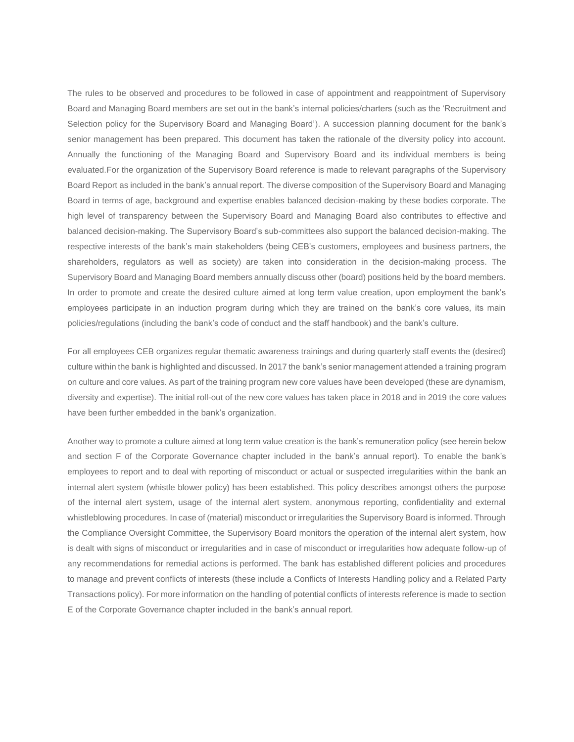The rules to be observed and procedures to be followed in case of appointment and reappointment of Supervisory Board and Managing Board members are set out in the bank's internal policies/charters (such as the 'Recruitment and Selection policy for the Supervisory Board and Managing Board'). A succession planning document for the bank's senior management has been prepared. This document has taken the rationale of the diversity policy into account. Annually the functioning of the Managing Board and Supervisory Board and its individual members is being evaluated.For the organization of the Supervisory Board reference is made to relevant paragraphs of the Supervisory Board Report as included in the bank's annual report. The diverse composition of the Supervisory Board and Managing Board in terms of age, background and expertise enables balanced decision-making by these bodies corporate. The high level of transparency between the Supervisory Board and Managing Board also contributes to effective and balanced decision-making. The Supervisory Board's sub-committees also support the balanced decision-making. The respective interests of the bank's main stakeholders (being CEB's customers, employees and business partners, the shareholders, regulators as well as society) are taken into consideration in the decision-making process. The Supervisory Board and Managing Board members annually discuss other (board) positions held by the board members. In order to promote and create the desired culture aimed at long term value creation, upon employment the bank's employees participate in an induction program during which they are trained on the bank's core values, its main policies/regulations (including the bank's code of conduct and the staff handbook) and the bank's culture.

For all employees CEB organizes regular thematic awareness trainings and during quarterly staff events the (desired) culture within the bank is highlighted and discussed. In 2017 the bank's senior management attended a training program on culture and core values. As part of the training program new core values have been developed (these are dynamism, diversity and expertise). The initial roll-out of the new core values has taken place in 2018 and in 2019 the core values have been further embedded in the bank's organization.

Another way to promote a culture aimed at long term value creation is the bank's remuneration policy (see herein below and section F of the Corporate Governance chapter included in the bank's annual report). To enable the bank's employees to report and to deal with reporting of misconduct or actual or suspected irregularities within the bank an internal alert system (whistle blower policy) has been established. This policy describes amongst others the purpose of the internal alert system, usage of the internal alert system, anonymous reporting, confidentiality and external whistleblowing procedures. In case of (material) misconduct or irregularities the Supervisory Board is informed. Through the Compliance Oversight Committee, the Supervisory Board monitors the operation of the internal alert system, how is dealt with signs of misconduct or irregularities and in case of misconduct or irregularities how adequate follow-up of any recommendations for remedial actions is performed. The bank has established different policies and procedures to manage and prevent conflicts of interests (these include a Conflicts of Interests Handling policy and a Related Party Transactions policy). For more information on the handling of potential conflicts of interests reference is made to section E of the Corporate Governance chapter included in the bank's annual report.